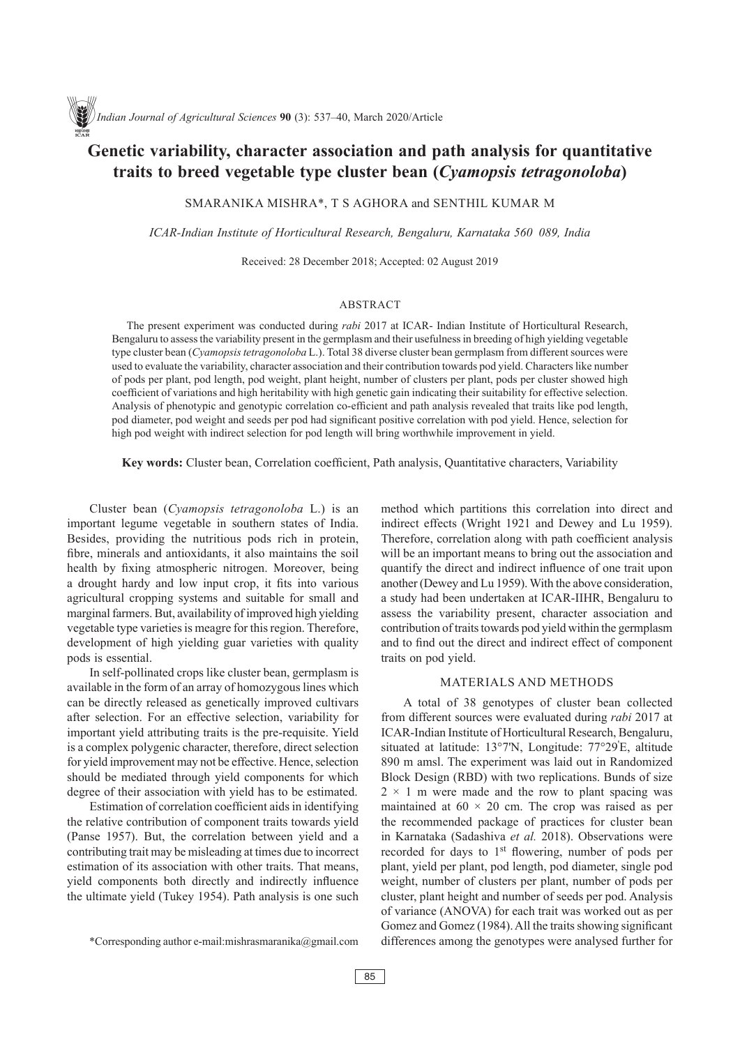# **Genetic variability, character association and path analysis for quantitative traits to breed vegetable type cluster bean (***Cyamopsis tetragonoloba***)**

Smaranika Mishra\*, T S Aghora and Senthil Kumar M

*ICAR-Indian Institute of Horticultural Research, Bengaluru, Karnataka 560 089, India*

Received: 28 December 2018; Accepted: 02 August 2019

## ABSTRACT

The present experiment was conducted during *rabi* 2017 at ICAR- Indian Institute of Horticultural Research, Bengaluru to assess the variability present in the germplasm and their usefulness in breeding of high yielding vegetable type cluster bean (*Cyamopsis tetragonoloba* L.). Total 38 diverse cluster bean germplasm from different sources were used to evaluate the variability, character association and their contribution towards pod yield. Characters like number of pods per plant, pod length, pod weight, plant height, number of clusters per plant, pods per cluster showed high coefficient of variations and high heritability with high genetic gain indicating their suitability for effective selection. Analysis of phenotypic and genotypic correlation co-efficient and path analysis revealed that traits like pod length, pod diameter, pod weight and seeds per pod had significant positive correlation with pod yield. Hence, selection for high pod weight with indirect selection for pod length will bring worthwhile improvement in yield.

**Key words:** Cluster bean, Correlation coefficient, Path analysis, Quantitative characters, Variability

Cluster bean (*Cyamopsis tetragonoloba* L.) is an important legume vegetable in southern states of India. Besides, providing the nutritious pods rich in protein, fibre, minerals and antioxidants, it also maintains the soil health by fixing atmospheric nitrogen. Moreover, being a drought hardy and low input crop, it fits into various agricultural cropping systems and suitable for small and marginal farmers. But, availability of improved high yielding vegetable type varieties is meagre for this region. Therefore, development of high yielding guar varieties with quality pods is essential.

In self-pollinated crops like cluster bean, germplasm is available in the form of an array of homozygous lines which can be directly released as genetically improved cultivars after selection. For an effective selection, variability for important yield attributing traits is the pre-requisite. Yield is a complex polygenic character, therefore, direct selection for yield improvement may not be effective. Hence, selection should be mediated through yield components for which degree of their association with yield has to be estimated.

Estimation of correlation coefficient aids in identifying the relative contribution of component traits towards yield (Panse 1957). But, the correlation between yield and a contributing trait may be misleading at times due to incorrect estimation of its association with other traits. That means, yield components both directly and indirectly influence the ultimate yield (Tukey 1954). Path analysis is one such

method which partitions this correlation into direct and indirect effects (Wright 1921 and Dewey and Lu 1959). Therefore, correlation along with path coefficient analysis will be an important means to bring out the association and quantify the direct and indirect influence of one trait upon another (Dewey and Lu 1959). With the above consideration, a study had been undertaken at ICAR-IIHR, Bengaluru to assess the variability present, character association and contribution of traits towards pod yield within the germplasm and to find out the direct and indirect effect of component traits on pod yield.

#### MATERIALS AND METHODS

A total of 38 genotypes of cluster bean collected from different sources were evaluated during *rabi* 2017 at ICAR-Indian Institute of Horticultural Research, Bengaluru, situated at latitude: 13°7'N, Longitude: 77°29' E, altitude 890 m amsl. The experiment was laid out in Randomized Block Design (RBD) with two replications. Bunds of size  $2 \times 1$  m were made and the row to plant spacing was maintained at  $60 \times 20$  cm. The crop was raised as per the recommended package of practices for cluster bean in Karnataka (Sadashiva *et al.* 2018). Observations were recorded for days to 1<sup>st</sup> flowering, number of pods per plant, yield per plant, pod length, pod diameter, single pod weight, number of clusters per plant, number of pods per cluster, plant height and number of seeds per pod. Analysis of variance (ANOVA) for each trait was worked out as per Gomez and Gomez (1984). All the traits showing significant differences among the genotypes were analysed further for

<sup>\*</sup>Corresponding author e-mail:mishrasmaranika@gmail.com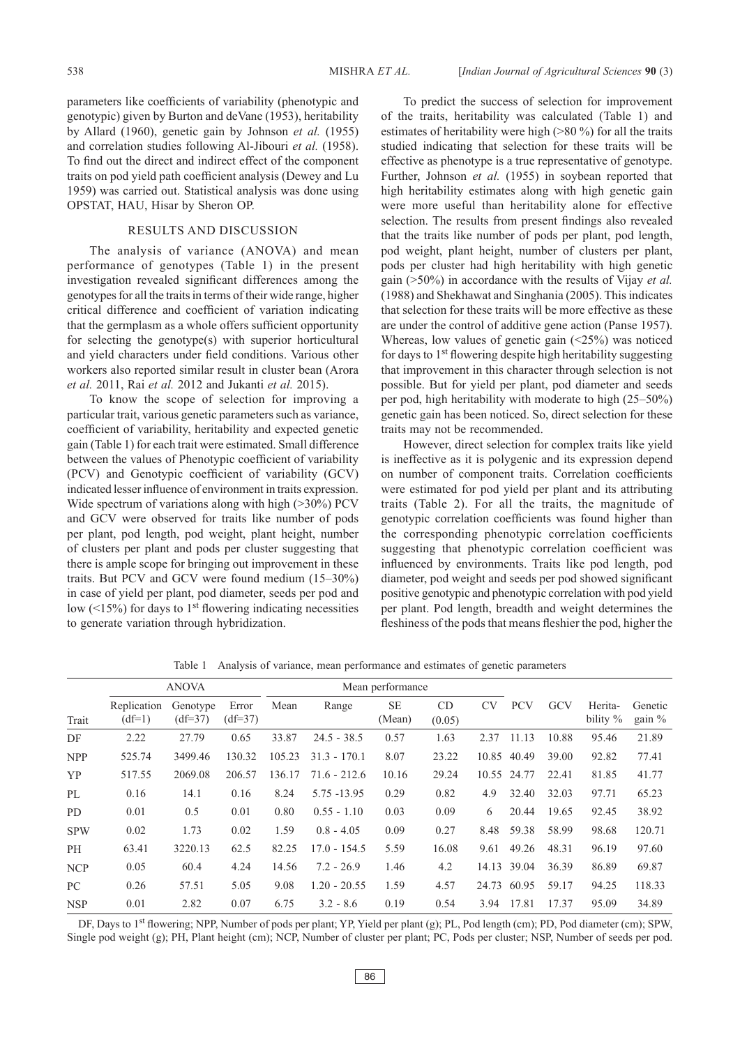parameters like coefficients of variability (phenotypic and genotypic) given by Burton and deVane (1953), heritability by Allard (1960), genetic gain by Johnson *et al.* (1955) and correlation studies following Al-Jibouri *et al.* (1958). To find out the direct and indirect effect of the component traits on pod yield path coefficient analysis (Dewey and Lu 1959) was carried out. Statistical analysis was done using OPSTAT, HAU, Hisar by Sheron OP.

### RESULTS AND DISCUSSION

The analysis of variance (ANOVA) and mean performance of genotypes (Table 1) in the present investigation revealed significant differences among the genotypes for all the traits in terms of their wide range, higher critical difference and coefficient of variation indicating that the germplasm as a whole offers sufficient opportunity for selecting the genotype(s) with superior horticultural and yield characters under field conditions. Various other workers also reported similar result in cluster bean (Arora *et al.* 2011, Rai *et al.* 2012 and Jukanti *et al.* 2015).

To know the scope of selection for improving a particular trait, various genetic parameters such as variance, coefficient of variability, heritability and expected genetic gain (Table 1) for each trait were estimated. Small difference between the values of Phenotypic coefficient of variability (PCV) and Genotypic coefficient of variability (GCV) indicated lesser influence of environment in traits expression. Wide spectrum of variations along with high (>30%) PCV and GCV were observed for traits like number of pods per plant, pod length, pod weight, plant height, number of clusters per plant and pods per cluster suggesting that there is ample scope for bringing out improvement in these traits. But PCV and GCV were found medium (15–30%) in case of yield per plant, pod diameter, seeds per pod and low  $($ <15%) for days to 1<sup>st</sup> flowering indicating necessities to generate variation through hybridization.

To predict the success of selection for improvement of the traits, heritability was calculated (Table 1) and estimates of heritability were high (>80 %) for all the traits studied indicating that selection for these traits will be effective as phenotype is a true representative of genotype. Further, Johnson *et al.* (1955) in soybean reported that high heritability estimates along with high genetic gain were more useful than heritability alone for effective selection. The results from present findings also revealed that the traits like number of pods per plant, pod length, pod weight, plant height, number of clusters per plant, pods per cluster had high heritability with high genetic gain (>50%) in accordance with the results of Vijay *et al.*  (1988) and Shekhawat and Singhania (2005). This indicates that selection for these traits will be more effective as these are under the control of additive gene action (Panse 1957). Whereas, low values of genetic gain (<25%) was noticed for days to 1st flowering despite high heritability suggesting that improvement in this character through selection is not possible. But for yield per plant, pod diameter and seeds per pod, high heritability with moderate to high (25–50%) genetic gain has been noticed. So, direct selection for these traits may not be recommended.

However, direct selection for complex traits like yield is ineffective as it is polygenic and its expression depend on number of component traits. Correlation coefficients were estimated for pod yield per plant and its attributing traits (Table 2). For all the traits, the magnitude of genotypic correlation coefficients was found higher than the corresponding phenotypic correlation coefficients suggesting that phenotypic correlation coefficient was influenced by environments. Traits like pod length, pod diameter, pod weight and seeds per pod showed significant positive genotypic and phenotypic correlation with pod yield per plant. Pod length, breadth and weight determines the fleshiness of the pods that means fleshier the pod, higher the

|            | <b>ANOVA</b>            |                       |                    | Mean performance |                |                     |              |           |             |       |                     |                   |
|------------|-------------------------|-----------------------|--------------------|------------------|----------------|---------------------|--------------|-----------|-------------|-------|---------------------|-------------------|
| Trait      | Replication<br>$(df=1)$ | Genotype<br>$(df=37)$ | Error<br>$(df=37)$ | Mean             | Range          | <b>SE</b><br>(Mean) | CD<br>(0.05) | <b>CV</b> | <b>PCV</b>  | GCV   | Herita-<br>bility % | Genetic<br>gain % |
| DF         | 2.22                    | 27.79                 | 0.65               | 33.87            | $24.5 - 38.5$  | 0.57                | 1.63         | 2.37      | 11.13       | 10.88 | 95.46               | 21.89             |
| <b>NPP</b> | 525.74                  | 3499.46               | 130.32             | 105.23           | $31.3 - 170.1$ | 8.07                | 23.22        | 10.85     | 40.49       | 39.00 | 92.82               | 77.41             |
| <b>YP</b>  | 517.55                  | 2069.08               | 206.57             | 136.17           | 71.6 - 212.6   | 10.16               | 29.24        |           | 10.55 24.77 | 22.41 | 81.85               | 41.77             |
| PL         | 0.16                    | 14.1                  | 0.16               | 8.24             | 5.75 -13.95    | 0.29                | 0.82         | 4.9       | 32.40       | 32.03 | 97.71               | 65.23             |
| <b>PD</b>  | 0.01                    | 0.5                   | 0.01               | 0.80             | $0.55 - 1.10$  | 0.03                | 0.09         | 6         | 20.44       | 19.65 | 92.45               | 38.92             |
| <b>SPW</b> | 0.02                    | 1.73                  | 0.02               | 1.59             | $0.8 - 4.05$   | 0.09                | 0.27         | 8.48      | 59.38       | 58.99 | 98.68               | 120.71            |
| <b>PH</b>  | 63.41                   | 3220.13               | 62.5               | 82.25            | $17.0 - 154.5$ | 5.59                | 16.08        | 9.61      | 49.26       | 48.31 | 96.19               | 97.60             |
| <b>NCP</b> | 0.05                    | 60.4                  | 4.24               | 14.56            | $7.2 - 26.9$   | 1.46                | 4.2          | 14.13     | 39.04       | 36.39 | 86.89               | 69.87             |
| PC.        | 0.26                    | 57.51                 | 5.05               | 9.08             | $1.20 - 20.55$ | 1.59                | 4.57         | 24.73     | 60.95       | 59.17 | 94.25               | 118.33            |
| <b>NSP</b> | 0.01                    | 2.82                  | 0.07               | 6.75             | $3.2 - 8.6$    | 0.19                | 0.54         | 3.94      | 17.81       | 17.37 | 95.09               | 34.89             |

Table 1 Analysis of variance, mean performance and estimates of genetic parameters

DF, Days to 1<sup>st</sup> flowering; NPP, Number of pods per plant; YP, Yield per plant (g); PL, Pod length (cm); PD, Pod diameter (cm); SPW, Single pod weight (g); PH, Plant height (cm); NCP, Number of cluster per plant; PC, Pods per cluster; NSP, Number of seeds per pod.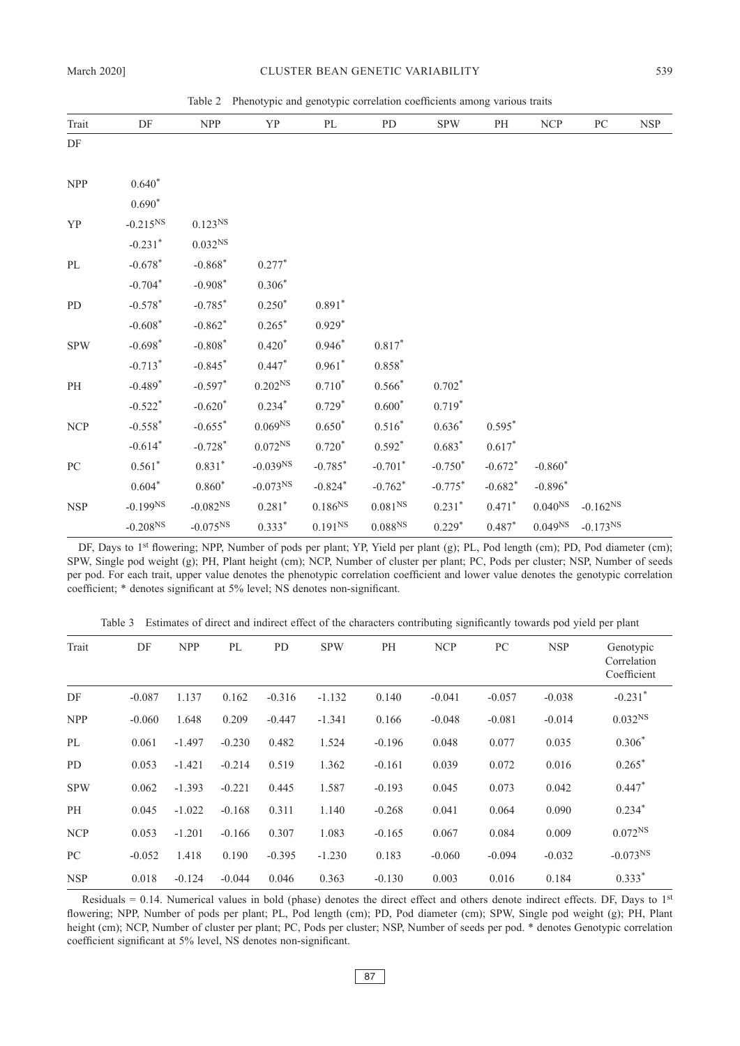Table 2 Phenotypic and genotypic correlation coefficients among various traits

| Trait      | DF                    | <b>NPP</b>          | YP                  | PL                  | PD                  | <b>SPW</b> | PH        | <b>NCP</b>          | PC            | <b>NSP</b> |
|------------|-----------------------|---------------------|---------------------|---------------------|---------------------|------------|-----------|---------------------|---------------|------------|
| DF         |                       |                     |                     |                     |                     |            |           |                     |               |            |
|            |                       |                     |                     |                     |                     |            |           |                     |               |            |
| <b>NPP</b> | $0.640*$              |                     |                     |                     |                     |            |           |                     |               |            |
|            | $0.690*$              |                     |                     |                     |                     |            |           |                     |               |            |
| YP         | $-0.215^{NS}$         | $0.123^{NS}$        |                     |                     |                     |            |           |                     |               |            |
|            | $-0.231$ <sup>*</sup> | 0.032 <sup>NS</sup> |                     |                     |                     |            |           |                     |               |            |
| PL         | $-0.678*$             | $-0.868*$           | $0.277*$            |                     |                     |            |           |                     |               |            |
|            | $-0.704*$             | $-0.908*$           | $0.306*$            |                     |                     |            |           |                     |               |            |
| <b>PD</b>  | $-0.578*$             | $-0.785*$           | $0.250*$            | $0.891*$            |                     |            |           |                     |               |            |
|            | $-0.608*$             | $-0.862*$           | $0.265*$            | $0.929*$            |                     |            |           |                     |               |            |
| <b>SPW</b> | $-0.698*$             | $-0.808*$           | $0.420*$            | $0.946*$            | $0.817*$            |            |           |                     |               |            |
|            | $-0.713*$             | $-0.845*$           | $0.447*$            | $0.961*$            | $0.858*$            |            |           |                     |               |            |
| PH         | $-0.489*$             | $-0.597*$           | $0.202^{NS}$        | $0.710*$            | $0.566*$            | $0.702*$   |           |                     |               |            |
|            | $-0.522*$             | $-0.620*$           | $0.234*$            | $0.729*$            | $0.600*$            | $0.719*$   |           |                     |               |            |
| <b>NCP</b> | $-0.558*$             | $-0.655*$           | 0.069 <sup>NS</sup> | $0.650*$            | $0.516*$            | $0.636*$   | $0.595*$  |                     |               |            |
|            | $-0.614*$             | $-0.728*$           | $0.072^{NS}$        | $0.720*$            | $0.592*$            | $0.683*$   | $0.617*$  |                     |               |            |
| PC         | $0.561*$              | $0.831*$            | $-0.039NS$          | $-0.785*$           | $-0.701*$           | $-0.750*$  | $-0.672*$ | $-0.860*$           |               |            |
|            | $0.604*$              | $0.860*$            | $-0.073^{NS}$       | $-0.824*$           | $-0.762*$           | $-0.775*$  | $-0.682*$ | $-0.896*$           |               |            |
| <b>NSP</b> | $-0.199^{NS}$         | $-0.082^{NS}$       | $0.281*$            | $0.186^{\rm NS}$    | 0.081 <sup>NS</sup> | $0.231*$   | $0.471*$  | $0.040^{NS}$        | $-0.162^{NS}$ |            |
|            | $-0.208^{NS}$         | $-0.075^{NS}$       | $0.333*$            | 0.191 <sup>NS</sup> | $0.088^{NS}$        | $0.229*$   | $0.487*$  | 0.049 <sup>NS</sup> | $-0.173^{NS}$ |            |

DF, Days to 1<sup>st</sup> flowering; NPP, Number of pods per plant; YP, Yield per plant (g); PL, Pod length (cm); PD, Pod diameter (cm); SPW, Single pod weight (g); PH, Plant height (cm); NCP, Number of cluster per plant; PC, Pods per cluster; NSP, Number of seeds per pod. For each trait, upper value denotes the phenotypic correlation coefficient and lower value denotes the genotypic correlation coefficient; \* denotes significant at 5% level; NS denotes non-significant.

Table 3 Estimates of direct and indirect effect of the characters contributing significantly towards pod yield per plant

| Trait      | DF       | <b>NPP</b> | PL       | PD       | <b>SPW</b> | PH       | <b>NCP</b> | PC       | <b>NSP</b> | Genotypic<br>Correlation<br>Coefficient |
|------------|----------|------------|----------|----------|------------|----------|------------|----------|------------|-----------------------------------------|
| DF         | $-0.087$ | 1.137      | 0.162    | $-0.316$ | $-1.132$   | 0.140    | $-0.041$   | $-0.057$ | $-0.038$   | $-0.231$ <sup>*</sup>                   |
| <b>NPP</b> | $-0.060$ | 1.648      | 0.209    | $-0.447$ | $-1.341$   | 0.166    | $-0.048$   | $-0.081$ | $-0.014$   | 0.032 <sup>NS</sup>                     |
| PL         | 0.061    | $-1.497$   | $-0.230$ | 0.482    | 1.524      | $-0.196$ | 0.048      | 0.077    | 0.035      | $0.306*$                                |
| PD.        | 0.053    | $-1.421$   | $-0.214$ | 0.519    | 1.362      | $-0.161$ | 0.039      | 0.072    | 0.016      | $0.265*$                                |
| <b>SPW</b> | 0.062    | $-1.393$   | $-0.221$ | 0.445    | 1.587      | $-0.193$ | 0.045      | 0.073    | 0.042      | $0.447*$                                |
| PH         | 0.045    | $-1.022$   | $-0.168$ | 0.311    | 1.140      | $-0.268$ | 0.041      | 0.064    | 0.090      | $0.234*$                                |
| <b>NCP</b> | 0.053    | $-1.201$   | $-0.166$ | 0.307    | 1.083      | $-0.165$ | 0.067      | 0.084    | 0.009      | $0.072^{NS}$                            |
| PC         | $-0.052$ | 1.418      | 0.190    | $-0.395$ | $-1.230$   | 0.183    | $-0.060$   | $-0.094$ | $-0.032$   | $-0.073^{NS}$                           |
| <b>NSP</b> | 0.018    | $-0.124$   | $-0.044$ | 0.046    | 0.363      | $-0.130$ | 0.003      | 0.016    | 0.184      | $0.333*$                                |

Residuals = 0.14. Numerical values in bold (phase) denotes the direct effect and others denote indirect effects. DF, Days to  $1<sup>st</sup>$ flowering; NPP, Number of pods per plant; PL, Pod length (cm); PD, Pod diameter (cm); SPW, Single pod weight (g); PH, Plant height (cm); NCP, Number of cluster per plant; PC, Pods per cluster; NSP, Number of seeds per pod. \* denotes Genotypic correlation coefficient significant at 5% level, NS denotes non-significant.